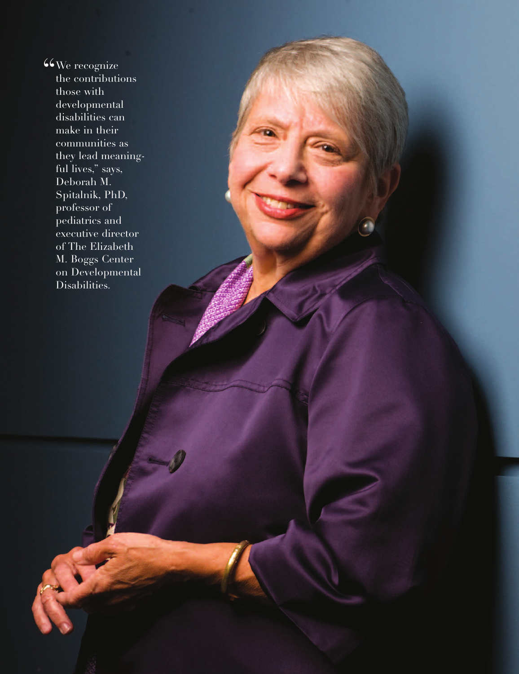$6\sqrt{\text{We recognize}}$ the contributions those with developmental disabilities can make in their communities as they lead meaningful lives," says, Deborah M. Spitalnik, PhD, professor of pediatrics and executive director of The Elizabeth M. Boggs Center on Developmental Disabilities.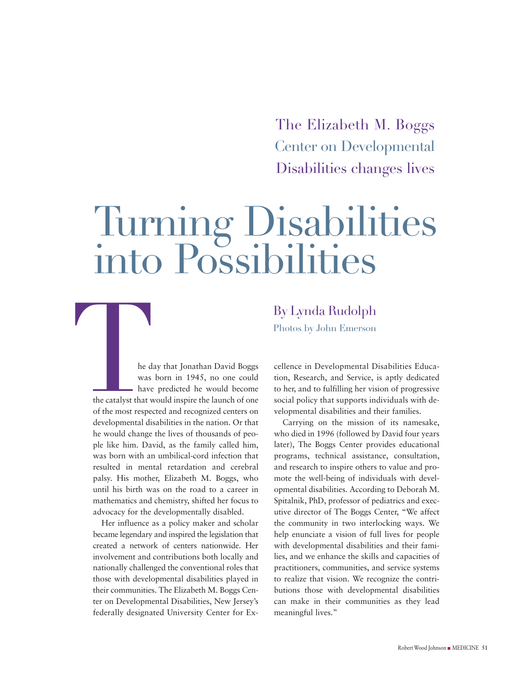The Elizabeth M. Boggs Center on Developmental Disabilities changes lives

# Turning Disabilities into Possibilities

he day that Jonathan David Boggs was born in 1945, no one could have predicted he would become the catalyst that would inspire the launch of one of the most respected and recognized centers on developmental disabilities in the nation. Or that he would change the lives of thousands of people like him. David, as the family called him, was born with an umbilical-cord infection that resulted in mental retardation and cerebral palsy. His mother, Elizabeth M. Boggs, who until his birth was on the road to a career in mathematics and chemistry, shifted her focus to advocacy for the developmentally disabled. By Lynda Rudolph<br>
Photos by John Emerson<br>
he day that Jonathan David Boggs<br>
eellence in Developmental L<br>
was born in 1945, no one could<br>
have predicted he would become<br>
to her, and to fulfilling her vis<br>
the catalyst that

Her influence as a policy maker and scholar became legendary and inspired the legislation that created a network of centers nationwide. Her involvement and contributions both locally and nationally challenged the conventional roles that those with developmental disabilities played in their communities. The Elizabeth M. Boggs Center on Developmental Disabilities, New Jersey's federally designated University Center for ExBy Lynda Rudolph

cellence in Developmental Disabilities Education, Research, and Service, is aptly dedicated to her, and to fulfilling her vision of progressive social policy that supports individuals with developmental disabilities and their families.

Carrying on the mission of its namesake, who died in 1996 (followed by David four years later), The Boggs Center provides educational programs, technical assistance, consultation, and research to inspire others to value and promote the well-being of individuals with developmental disabilities. According to Deborah M. Spitalnik, PhD, professor of pediatrics and executive director of The Boggs Center, "We affect the community in two interlocking ways. We help enunciate a vision of full lives for people with developmental disabilities and their families, and we enhance the skills and capacities of practitioners, communities, and service systems to realize that vision. We recognize the contributions those with developmental disabilities can make in their communities as they lead meaningful lives."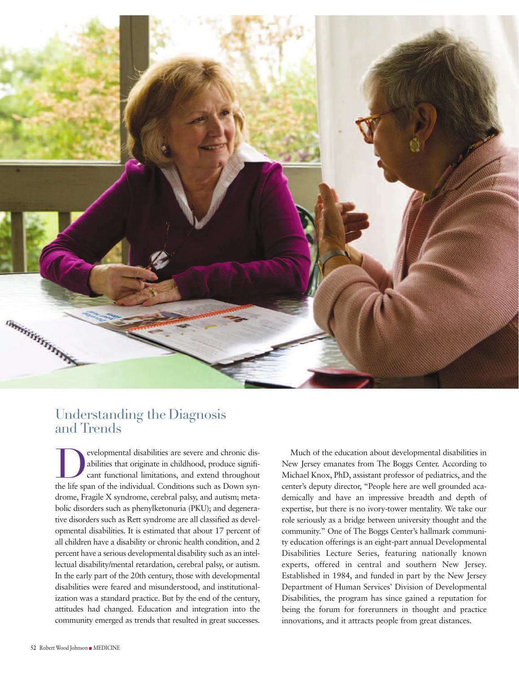

## Understanding the Diagnosis and Trends

evelopmental disabilities are severe and chronic dis-<br>abilities that originate in childhood, produce significant functional limitations, and extend throughout<br>the life span of the individual Conditions such as Down synabilities that originate in childhood, produce significant functional limitations, and extend throughout the life span of the individual. Conditions such as Down syndrome, Fragile X syndrome, cerebral palsy, and autism; metabolic disorders such as phenylketonuria (PKU); and degenerative disorders such as Rett syndrome are all classified as developmental disabilities. It is estimated that about 17 percent of all children have a disability or chronic health condition, and 2 percent have a serious developmental disability such as an intellectual disability/mental retardation, cerebral palsy, or autism. In the early part of the 20th century, those with developmental disabilities were feared and misunderstood, and institutionalization was a standard practice. But by the end of the century, attitudes had changed. Education and integration into the community emerged as trends that resulted in great successes.

Much of the education about developmental disabilities in New Jersey emanates from The Boggs Center. According to Michael Knox, PhD, assistant professor of pediatrics, and the center's deputy director, "People here are well grounded academically and have an impressive breadth and depth of expertise, but there is no ivory-tower mentality. We take our role seriously as a bridge between university thought and the community." One of The Boggs Center's hallmark community education offerings is an eight-part annual Developmental Disabilities Lecture Series, featuring nationally known experts, offered in central and southern New Jersey. Established in 1984, and funded in part by the New Jersey Department of Human Services' Division of Developmental Disabilities, the program has since gained a reputation for being the forum for forerunners in thought and practice innovations, and it attracts people from great distances.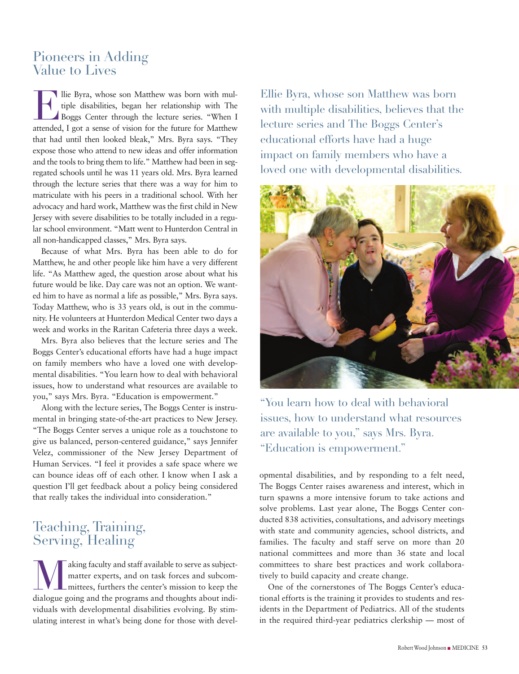#### Pioneers in Adding Value to Lives

The Byra, whose son Matthew was born with multiple disabilities, began her relationship with The Boggs Center through the lecture series. "When I tiple disabilities, began her relationship with The Boggs Center through the lecture series. "When I attended, I got a sense of vision for the future for Matthew that had until then looked bleak," Mrs. Byra says. "They expose those who attend to new ideas and offer information and the tools to bring them to life." Matthew had been in segregated schools until he was 11 years old. Mrs. Byra learned through the lecture series that there was a way for him to matriculate with his peers in a traditional school. With her advocacy and hard work, Matthew was the first child in New Jersey with severe disabilities to be totally included in a regular school environment. "Matt went to Hunterdon Central in all non-handicapped classes," Mrs. Byra says.

Because of what Mrs. Byra has been able to do for Matthew, he and other people like him have a very different life. "As Matthew aged, the question arose about what his future would be like. Day care was not an option. We wanted him to have as normal a life as possible," Mrs. Byra says. Today Matthew, who is 33 years old, is out in the community. He volunteers at Hunterdon Medical Center two days a week and works in the Raritan Cafeteria three days a week.

Mrs. Byra also believes that the lecture series and The Boggs Center's educational efforts have had a huge impact on family members who have a loved one with developmental disabilities. "You learn how to deal with behavioral issues, how to understand what resources are available to you," says Mrs. Byra. "Education is empowerment."

Along with the lecture series, The Boggs Center is instrumental in bringing state-of-the-art practices to New Jersey. "The Boggs Center serves a unique role as a touchstone to give us balanced, person-centered guidance," says Jennifer Velez, commissioner of the New Jersey Department of Human Services. "I feel it provides a safe space where we can bounce ideas off of each other. I know when I ask a question I'll get feedback about a policy being considered that really takes the individual into consideration."

# Teaching, Training, Serving, Healing

aking faculty and staff available to serve as subjectmatter experts, and on task forces and subcommittees, furthers the center's mission to keep the dialogue going and the programs and thoughts about individuals with developmental disabilities evolving. By stimulating interest in what's being done for those with devel-

Ellie Byra, whose son Matthew was born with multiple disabilities, believes that the lecture series and The Boggs Center's educational efforts have had a huge impact on family members who have a loved one with developmental disabilities.



"You learn how to deal with behavioral issues, how to understand what resources are available to you," says Mrs. Byra. "Education is empowerment."

opmental disabilities, and by responding to a felt need, The Boggs Center raises awareness and interest, which in turn spawns a more intensive forum to take actions and solve problems. Last year alone, The Boggs Center conducted 838 activities, consultations, and advisory meetings with state and community agencies, school districts, and families. The faculty and staff serve on more than 20 national committees and more than 36 state and local committees to share best practices and work collaboratively to build capacity and create change.

One of the cornerstones of The Boggs Center's educational efforts is the training it provides to students and residents in the Department of Pediatrics. All of the students in the required third-year pediatrics clerkship — most of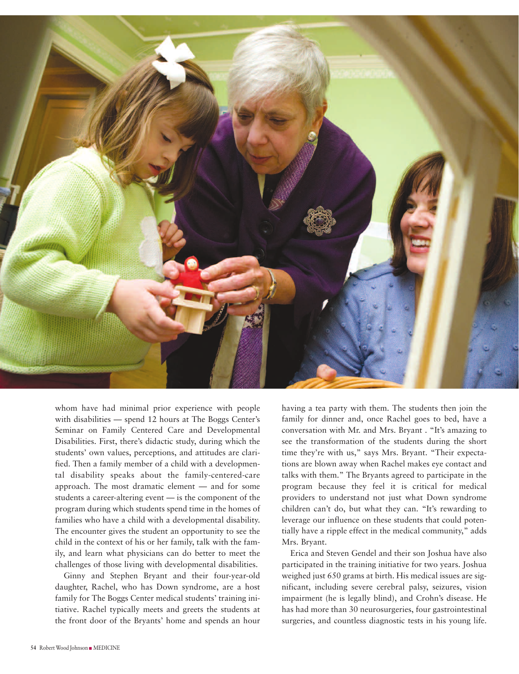

whom have had minimal prior experience with people with disabilities — spend 12 hours at The Boggs Center's Seminar on Family Centered Care and Developmental Disabilities. First, there's didactic study, during which the students' own values, perceptions, and attitudes are clarified. Then a family member of a child with a developmental disability speaks about the family-centered-care approach. The most dramatic element — and for some students a career-altering event — is the component of the program during which students spend time in the homes of families who have a child with a developmental disability. The encounter gives the student an opportunity to see the child in the context of his or her family, talk with the family, and learn what physicians can do better to meet the challenges of those living with developmental disabilities.

Ginny and Stephen Bryant and their four-year-old daughter, Rachel, who has Down syndrome, are a host family for The Boggs Center medical students' training initiative. Rachel typically meets and greets the students at the front door of the Bryants' home and spends an hour having a tea party with them. The students then join the family for dinner and, once Rachel goes to bed, have a conversation with Mr. and Mrs. Bryant . "It's amazing to see the transformation of the students during the short time they're with us," says Mrs. Bryant. "Their expectations are blown away when Rachel makes eye contact and talks with them." The Bryants agreed to participate in the program because they feel it is critical for medical providers to understand not just what Down syndrome children can't do, but what they can. "It's rewarding to leverage our influence on these students that could potentially have a ripple effect in the medical community," adds Mrs. Bryant.

Erica and Steven Gendel and their son Joshua have also participated in the training initiative for two years. Joshua weighed just 650 grams at birth. His medical issues are significant, including severe cerebral palsy, seizures, vision impairment (he is legally blind), and Crohn's disease. He has had more than 30 neurosurgeries, four gastrointestinal surgeries, and countless diagnostic tests in his young life.